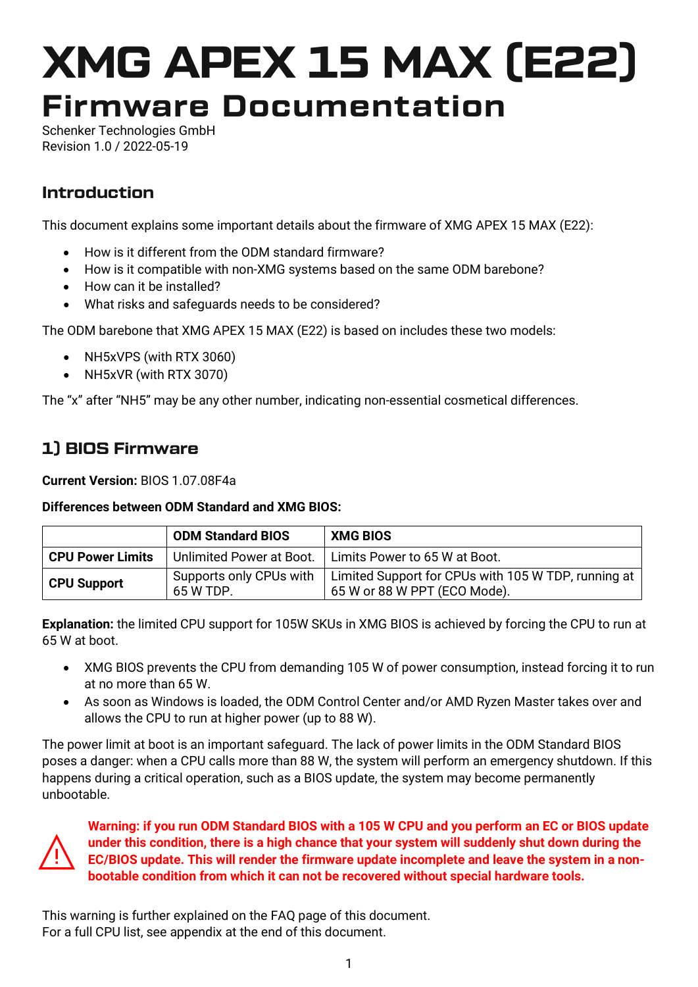# XMG APEX 15 MAX (E22) Firmware Documentation

Schenker Technologies GmbH Revision 1.0 / 2022-05-19

## Introduction

This document explains some important details about the firmware of XMG APEX 15 MAX (E22):

- How is it different from the ODM standard firmware?
- How is it compatible with non-XMG systems based on the same ODM barebone?
- How can it be installed?
- What risks and safeguards needs to be considered?

The ODM barebone that XMG APEX 15 MAX (E22) is based on includes these two models:

- NH5xVPS (with RTX 3060)
- NH5xVR (with RTX 3070)

The "x" after "NH5" may be any other number, indicating non-essential cosmetical differences.

## 1) BIOS Firmware

**Current Version:** BIOS 1.07.08F4a

#### **Differences between ODM Standard and XMG BIOS:**

|                         | <b>ODM Standard BIOS</b>             | <b>XMG BIOS</b>                                                                     |
|-------------------------|--------------------------------------|-------------------------------------------------------------------------------------|
| <b>CPU Power Limits</b> | Unlimited Power at Boot.             | Limits Power to 65 W at Boot.                                                       |
| <b>CPU Support</b>      | Supports only CPUs with<br>65 W TDP. | Limited Support for CPUs with 105 W TDP, running at<br>65 W or 88 W PPT (ECO Mode). |

**Explanation:** the limited CPU support for 105W SKUs in XMG BIOS is achieved by forcing the CPU to run at 65 W at boot.

- XMG BIOS prevents the CPU from demanding 105 W of power consumption, instead forcing it to run at no more than 65 W.
- As soon as Windows is loaded, the ODM Control Center and/or AMD Ryzen Master takes over and allows the CPU to run at higher power (up to 88 W).

The power limit at boot is an important safeguard. The lack of power limits in the ODM Standard BIOS poses a danger: when a CPU calls more than 88 W, the system will perform an emergency shutdown. If this happens during a critical operation, such as a BIOS update, the system may become permanently unbootable.



**Warning: if you run ODM Standard BIOS with a 105 W CPU and you perform an EC or BIOS update under this condition, there is a high chance that your system will suddenly shut down during the EC/BIOS update. This will render the firmware update incomplete and leave the system in a nonbootable condition from which it can not be recovered without special hardware tools.**

This warning is further explained on the FAQ page of this document. For a full CPU list, see appendix at the end of this document.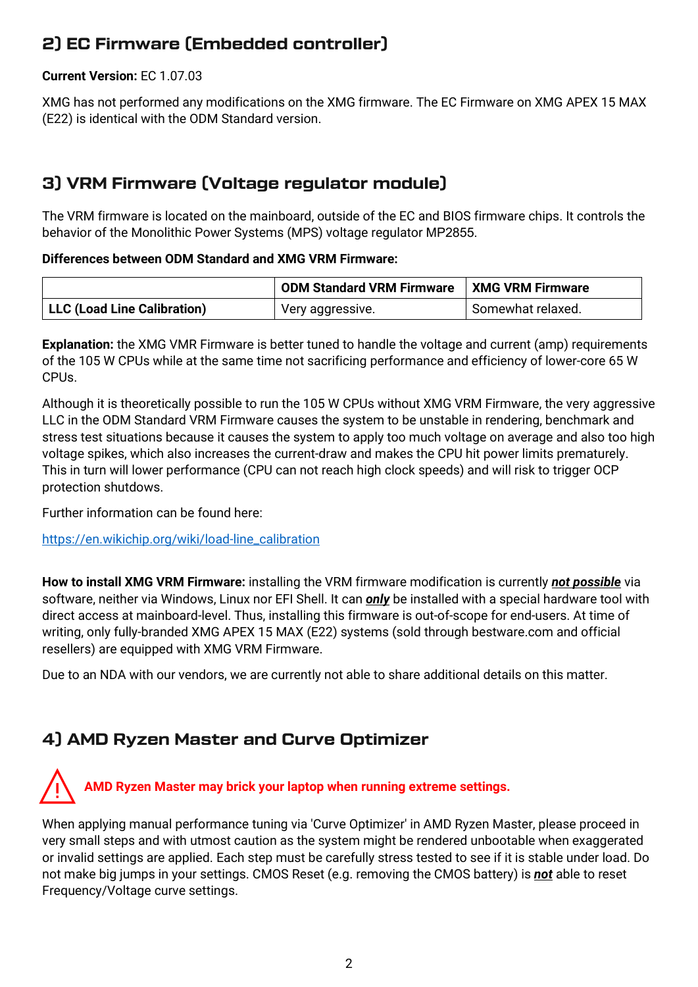## 2) EC Firmware (Embedded controller)

#### **Current Version:** EC 1.07.03

XMG has not performed any modifications on the XMG firmware. The EC Firmware on XMG APEX 15 MAX (E22) is identical with the ODM Standard version.

## 3) VRM Firmware (Voltage regulator module)

The VRM firmware is located on the mainboard, outside of the EC and BIOS firmware chips. It controls the behavior of the Monolithic Power Systems (MPS) voltage regulator MP2855.

#### **Differences between ODM Standard and XMG VRM Firmware:**

|                             | <b>ODM Standard VRM Firmware</b> | XMG VRM Firmware  |
|-----------------------------|----------------------------------|-------------------|
| LLC (Load Line Calibration) | Very aggressive.                 | Somewhat relaxed. |

**Explanation:** the XMG VMR Firmware is better tuned to handle the voltage and current (amp) requirements of the 105 W CPUs while at the same time not sacrificing performance and efficiency of lower-core 65 W CPUs.

Although it is theoretically possible to run the 105 W CPUs without XMG VRM Firmware, the very aggressive LLC in the ODM Standard VRM Firmware causes the system to be unstable in rendering, benchmark and stress test situations because it causes the system to apply too much voltage on average and also too high voltage spikes, which also increases the current-draw and makes the CPU hit power limits prematurely. This in turn will lower performance (CPU can not reach high clock speeds) and will risk to trigger OCP protection shutdows.

Further information can be found here:

[https://en.wikichip.org/wiki/load-line\\_calibration](https://en.wikichip.org/wiki/load-line_calibration)

**How to install XMG VRM Firmware:** installing the VRM firmware modification is currently *not possible* via software, neither via Windows, Linux nor EFI Shell. It can *only* be installed with a special hardware tool with direct access at mainboard-level. Thus, installing this firmware is out-of-scope for end-users. At time of writing, only fully-branded XMG APEX 15 MAX (E22) systems (sold through bestware.com and official resellers) are equipped with XMG VRM Firmware.

Due to an NDA with our vendors, we are currently not able to share additional details on this matter.

## 4) AMD Ryzen Master and Curve Optimizer

## ⚠**AMD Ryzen Master may brick your laptop when running extreme settings.**

When applying manual performance tuning via 'Curve Optimizer' in AMD Ryzen Master, please proceed in very small steps and with utmost caution as the system might be rendered unbootable when exaggerated or invalid settings are applied. Each step must be carefully stress tested to see if it is stable under load. Do not make big jumps in your settings. CMOS Reset (e.g. removing the CMOS battery) is *not* able to reset Frequency/Voltage curve settings.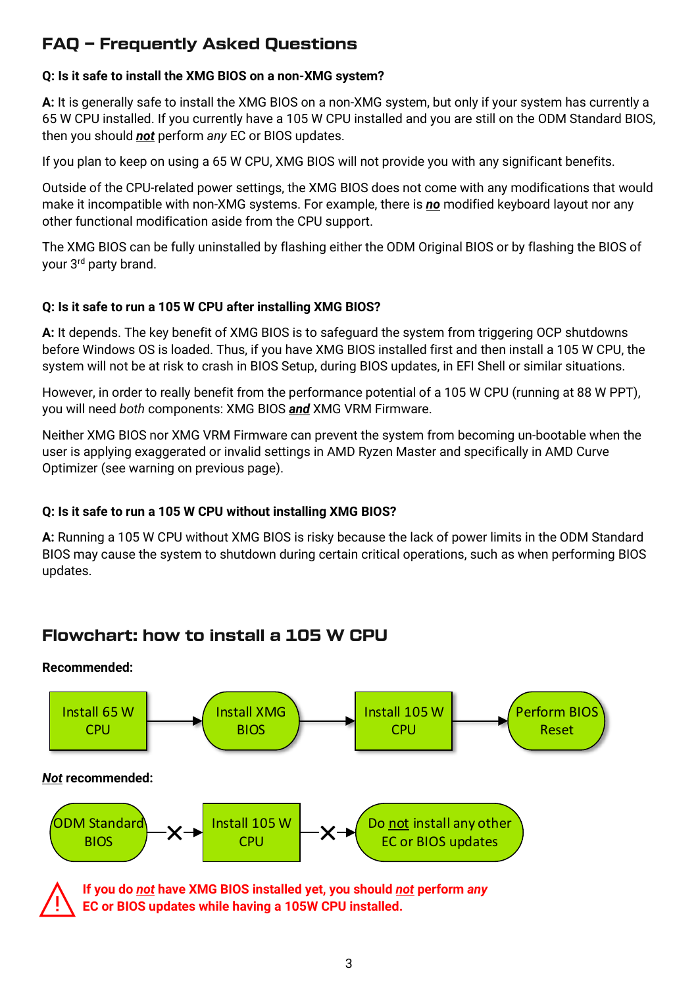## FAQ – Frequently Asked Questions

#### **Q: Is it safe to install the XMG BIOS on a non-XMG system?**

**A:** It is generally safe to install the XMG BIOS on a non-XMG system, but only if your system has currently a 65 W CPU installed. If you currently have a 105 W CPU installed and you are still on the ODM Standard BIOS, then you should *not* perform *any* EC or BIOS updates.

If you plan to keep on using a 65 W CPU, XMG BIOS will not provide you with any significant benefits.

Outside of the CPU-related power settings, the XMG BIOS does not come with any modifications that would make it incompatible with non-XMG systems. For example, there is *no* modified keyboard layout nor any other functional modification aside from the CPU support.

The XMG BIOS can be fully uninstalled by flashing either the ODM Original BIOS or by flashing the BIOS of your 3rd party brand.

#### **Q: Is it safe to run a 105 W CPU after installing XMG BIOS?**

**A:** It depends. The key benefit of XMG BIOS is to safeguard the system from triggering OCP shutdowns before Windows OS is loaded. Thus, if you have XMG BIOS installed first and then install a 105 W CPU, the system will not be at risk to crash in BIOS Setup, during BIOS updates, in EFI Shell or similar situations.

However, in order to really benefit from the performance potential of a 105 W CPU (running at 88 W PPT), you will need *both* components: XMG BIOS *and* XMG VRM Firmware.

Neither XMG BIOS nor XMG VRM Firmware can prevent the system from becoming un-bootable when the user is applying exaggerated or invalid settings in AMD Ryzen Master and specifically in AMD Curve Optimizer (see warning on previous page).

### **Q: Is it safe to run a 105 W CPU without installing XMG BIOS?**

**A:** Running a 105 W CPU without XMG BIOS is risky because the lack of power limits in the ODM Standard BIOS may cause the system to shutdown during certain critical operations, such as when performing BIOS updates.

## Flowchart: how to install a 105 W CPU



**EC or BIOS updates while having a 105W CPU installed.**